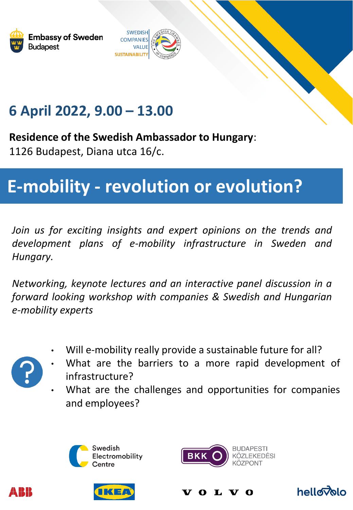



## **6 April 2022, 9.00 – 13.00**

**Residence of the Swedish Ambassador to Hungary**:

1126 Budapest, Diana utca 16/c.

## **E-mobility - revolution or evolution?**

*Join us for exciting insights and expert opinions on the trends and development plans of e-mobility infrastructure in Sweden and Hungary.*

*Networking, keynote lectures and an interactive panel discussion in a forward looking workshop with companies & Swedish and Hungarian e-mobility experts*

• Will e-mobility really provide a sustainable future for all?



N KHK

- What are the barriers to a more rapid development of infrastructure?
- What are the challenges and opportunities for companies and employees?